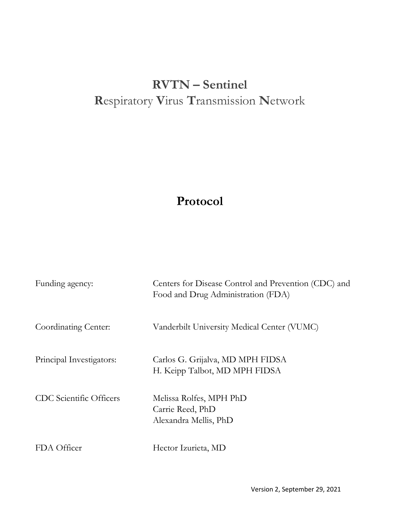# **RVTN – Sentinel R**espiratory **V**irus **T**ransmission **N**etwork

## **Protocol**

| Funding agency:                | Centers for Disease Control and Prevention (CDC) and<br>Food and Drug Administration (FDA) |
|--------------------------------|--------------------------------------------------------------------------------------------|
| Coordinating Center:           | Vanderbilt University Medical Center (VUMC)                                                |
| Principal Investigators:       | Carlos G. Grijalva, MD MPH FIDSA<br>H. Keipp Talbot, MD MPH FIDSA                          |
| <b>CDC</b> Scientific Officers | Melissa Rolfes, MPH PhD<br>Carrie Reed, PhD<br>Alexandra Mellis, PhD                       |
| FDA Officer                    | Hector Izurieta, MD                                                                        |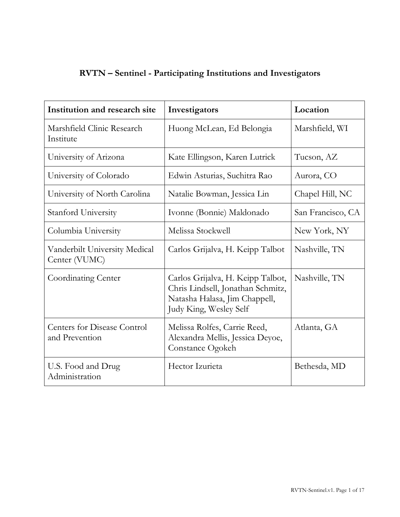| <b>RVTN</b> - Sentinel - Participating Institutions and Investigators |  |  |
|-----------------------------------------------------------------------|--|--|
|-----------------------------------------------------------------------|--|--|

| Institution and research site                        | Investigators                                                                                                                     | Location          |  |
|------------------------------------------------------|-----------------------------------------------------------------------------------------------------------------------------------|-------------------|--|
| Marshfield Clinic Research<br>Institute              | Huong McLean, Ed Belongia                                                                                                         | Marshfield, WI    |  |
| University of Arizona                                | Kate Ellingson, Karen Lutrick                                                                                                     | Tucson, AZ        |  |
| University of Colorado                               | Edwin Asturias, Suchitra Rao                                                                                                      | Aurora, CO        |  |
| University of North Carolina                         | Natalie Bowman, Jessica Lin                                                                                                       | Chapel Hill, NC   |  |
| Stanford University                                  | Ivonne (Bonnie) Maldonado                                                                                                         | San Francisco, CA |  |
| Columbia University                                  | Melissa Stockwell                                                                                                                 | New York, NY      |  |
| Vanderbilt University Medical<br>Center (VUMC)       | Carlos Grijalva, H. Keipp Talbot                                                                                                  | Nashville, TN     |  |
| <b>Coordinating Center</b>                           | Carlos Grijalva, H. Keipp Talbot,<br>Chris Lindsell, Jonathan Schmitz,<br>Natasha Halasa, Jim Chappell,<br>Judy King, Wesley Self | Nashville, TN     |  |
| <b>Centers for Disease Control</b><br>and Prevention | Melissa Rolfes, Carrie Reed,<br>Alexandra Mellis, Jessica Deyoe,<br>Constance Ogokeh                                              | Atlanta, GA       |  |
| U.S. Food and Drug<br>Administration                 | Hector Izurieta                                                                                                                   | Bethesda, MD      |  |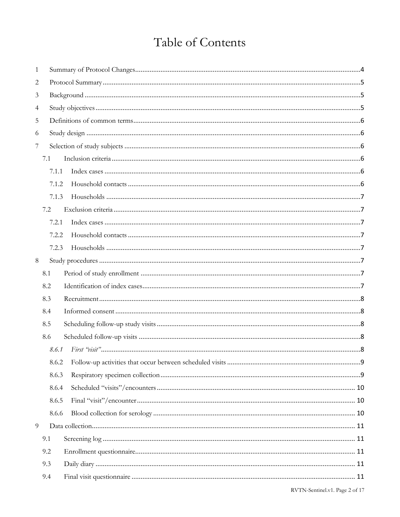## Table of Contents

| 1              |       |  |  |  |
|----------------|-------|--|--|--|
| $\mathbf{2}$   |       |  |  |  |
| 3              |       |  |  |  |
| $\overline{4}$ |       |  |  |  |
| 5              |       |  |  |  |
| 6              |       |  |  |  |
| 7              |       |  |  |  |
|                | 7.1   |  |  |  |
|                | 7.1.1 |  |  |  |
|                | 7.1.2 |  |  |  |
|                | 7.1.3 |  |  |  |
|                | 7.2   |  |  |  |
|                | 7.2.1 |  |  |  |
|                | 7.2.2 |  |  |  |
|                | 7.2.3 |  |  |  |
| 8              |       |  |  |  |
|                | 8.1   |  |  |  |
|                | 8.2   |  |  |  |
|                | 8.3   |  |  |  |
|                | 8.4   |  |  |  |
|                | 8.5   |  |  |  |
|                | 8.6   |  |  |  |
|                | 8.6.1 |  |  |  |
|                | 8.6.2 |  |  |  |
|                | 8.6.3 |  |  |  |
|                | 8.6.4 |  |  |  |
|                | 8.6.5 |  |  |  |
|                | 8.6.6 |  |  |  |
| 9              |       |  |  |  |
|                | 9.1   |  |  |  |
|                | 9.2   |  |  |  |
|                | 9.3   |  |  |  |
|                | 9.4   |  |  |  |
|                |       |  |  |  |

RVTN-Sentinel.v1. Page 2 of 17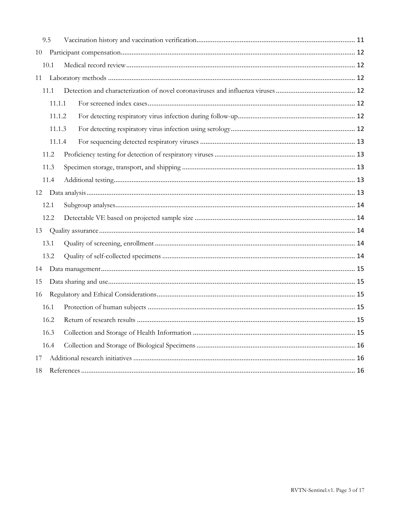|    | 9.5    |  |
|----|--------|--|
|    |        |  |
|    | 10.1   |  |
| 11 |        |  |
|    | 11.1   |  |
|    | 11.1.1 |  |
|    | 11.1.2 |  |
|    | 11.1.3 |  |
|    | 11.1.4 |  |
|    | 11.2   |  |
|    | 11.3   |  |
|    | 11.4   |  |
|    |        |  |
|    | 12.1   |  |
|    | 12.2   |  |
|    |        |  |
|    | 13.1   |  |
|    | 13.2   |  |
| 14 |        |  |
| 15 |        |  |
| 16 |        |  |
|    | 16.1   |  |
|    | 16.2   |  |
|    | 16.3   |  |
|    | 16.4   |  |
| 17 |        |  |
| 18 |        |  |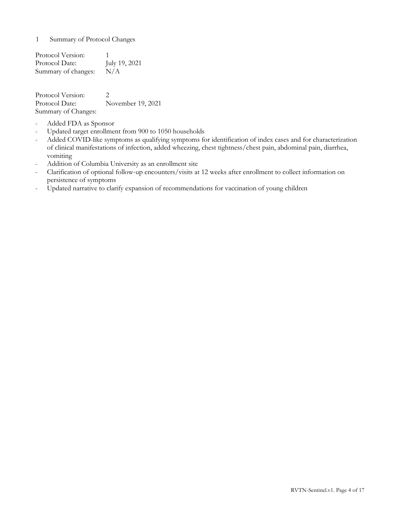<span id="page-4-0"></span>1 Summary of Protocol Changes

Protocol Version: 1 Protocol Date: July 19, 2021 Summary of changes: N/A

Protocol Version: 2 Protocol Date: November 19, 2021 Summary of Changes:

- Added FDA as Sponsor
- Updated target enrollment from 900 to 1050 households
- Added COVID-like symptoms as qualifying symptoms for identification of index cases and for characterization of clinical manifestations of infection, added wheezing, chest tightness/chest pain, abdominal pain, diarrhea, vomiting
- Addition of Columbia University as an enrollment site
- Clarification of optional follow-up encounters/visits at 12 weeks after enrollment to collect information on persistence of symptoms
- Updated narrative to clarify expansion of recommendations for vaccination of young children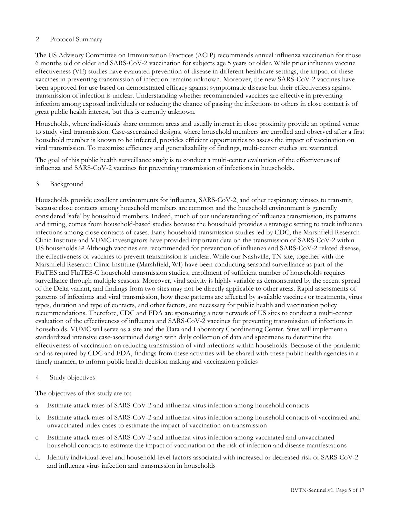## <span id="page-5-0"></span>2 Protocol Summary

The US Advisory Committee on Immunization Practices (ACIP) recommends annual influenza vaccination for those 6 months old or older and SARS-CoV-2 vaccination for subjects age 5 years or older. While prior influenza vaccine effectiveness (VE) studies have evaluated prevention of disease in different healthcare settings, the impact of these vaccines in preventing transmission of infection remains unknown. Moreover, the new SARS-CoV-2 vaccines have been approved for use based on demonstrated efficacy against symptomatic disease but their effectiveness against transmission of infection is unclear. Understanding whether recommended vaccines are effective in preventing infection among exposed individuals or reducing the chance of passing the infections to others in close contact is of great public health interest, but this is currently unknown.

Households, where individuals share common areas and usually interact in close proximity provide an optimal venue to study viral transmission. Case-ascertained designs, where household members are enrolled and observed after a first household member is known to be infected, provides efficient opportunities to assess the impact of vaccination on viral transmission. To maximize efficiency and generalizability of findings, multi-center studies are warranted.

The goal of this public health surveillance study is to conduct a multi-center evaluation of the effectiveness of influenza and SARS-CoV-2 vaccines for preventing transmission of infections in households.

## <span id="page-5-1"></span>3 Background

Households provide excellent environments for influenza, SARS-CoV-2, and other respiratory viruses to transmit, because close contacts among household members are common and the household environment is generally considered 'safe' by household members. Indeed, much of our understanding of influenza transmission, its patterns and timing, comes from household-based studies because the household provides a strategic setting to track influenza infections among close contacts of cases. Early household transmission studies led by CDC, the Marshfield Research Clinic Institute and VUMC investigators have provided important data on the transmission of SARS-CoV-2 within US households.<sup>1,2</sup> Although vaccines are recommended for prevention of influenza and SARS-CoV-2 related disease, the effectiveness of vaccines to prevent transmission is unclear. While our Nashville, TN site, together with the Marshfield Research Clinic Institute (Marshfield, WI) have been conducting seasonal surveillance as part of the FluTES and FluTES-C household transmission studies, enrollment of sufficient number of households requires surveillance through multiple seasons. Moreover, viral activity is highly variable as demonstrated by the recent spread of the Delta variant, and findings from two sites may not be directly applicable to other areas. Rapid assessments of patterns of infections and viral transmission, how these patterns are affected by available vaccines or treatments, virus types, duration and type of contacts, and other factors, are necessary for public health and vaccination policy recommendations. Therefore, CDC and FDA are sponsoring a new network of US sites to conduct a multi-center evaluation of the effectiveness of influenza and SARS-CoV-2 vaccines for preventing transmission of infections in households. VUMC will serve as a site and the Data and Laboratory Coordinating Center. Sites will implement a standardized intensive case-ascertained design with daily collection of data and specimens to determine the effectiveness of vaccination on reducing transmission of viral infections within households. Because of the pandemic and as required by CDC and FDA, findings from these activities will be shared with these public health agencies in a timely manner, to inform public health decision making and vaccination policies

## <span id="page-5-2"></span>4 Study objectives

The objectives of this study are to:

- a. Estimate attack rates of SARS-CoV-2 and influenza virus infection among household contacts
- b. Estimate attack rates of SARS-CoV-2 and influenza virus infection among household contacts of vaccinated and unvaccinated index cases to estimate the impact of vaccination on transmission
- c. Estimate attack rates of SARS-CoV-2 and influenza virus infection among vaccinated and unvaccinated household contacts to estimate the impact of vaccination on the risk of infection and disease manifestations
- d. Identify individual-level and household-level factors associated with increased or decreased risk of SARS-CoV-2 and influenza virus infection and transmission in households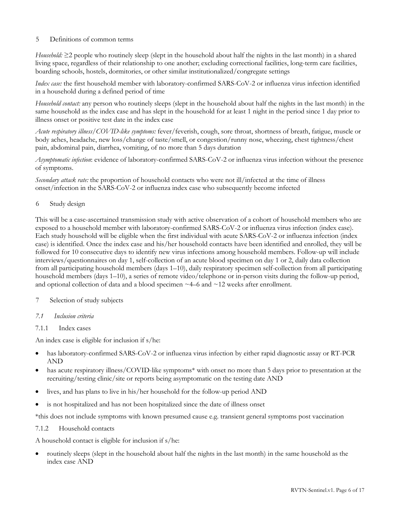## <span id="page-6-0"></span>5 Definitions of common terms

*Household:* ≥2 people who routinely sleep (slept in the household about half the nights in the last month) in a shared living space, regardless of their relationship to one another; excluding correctional facilities, long-term care facilities, boarding schools, hostels, dormitories, or other similar institutionalized/congregate settings

*Index case:* the first household member with laboratory-confirmed SARS-CoV-2 or influenza virus infection identified in a household during a defined period of time

*Household contact:* any person who routinely sleeps (slept in the household about half the nights in the last month) in the same household as the index case and has slept in the household for at least 1 night in the period since 1 day prior to illness onset or positive test date in the index case

*Acute respiratory illness/COVID-like symptoms:* fever/feverish, cough, sore throat, shortness of breath, fatigue, muscle or body aches, headache, new loss/change of taste/smell, or congestion/runny nose, wheezing, chest tightness/chest pain, abdominal pain, diarrhea, vomiting, of no more than 5 days duration

*Asymptomatic infection*: evidence of laboratory-confirmed SARS-CoV-2 or influenza virus infection without the presence of symptoms.

*Secondary attack rate:* the proportion of household contacts who were not ill/infected at the time of illness onset/infection in the SARS-CoV-2 or influenza index case who subsequently become infected

<span id="page-6-1"></span>6 Study design

This will be a case-ascertained transmission study with active observation of a cohort of household members who are exposed to a household member with laboratory-confirmed SARS-CoV-2 or influenza virus infection (index case). Each study household will be eligible when the first individual with acute SARS-CoV-2 or influenza infection (index case) is identified. Once the index case and his/her household contacts have been identified and enrolled, they will be followed for 10 consecutive days to identify new virus infections among household members. Follow-up will include interviews/questionnaires on day 1, self-collection of an acute blood specimen on day 1 or 2, daily data collection from all participating household members (days 1–10), daily respiratory specimen self-collection from all participating household members (days 1–10), a series of remote video/telephone or in-person visits during the follow-up period, and optional collection of data and a blood specimen  $\sim$  4–6 and  $\sim$  12 weeks after enrollment.

## <span id="page-6-2"></span>7 Selection of study subjects

- <span id="page-6-3"></span>*7.1 Inclusion criteria*
- <span id="page-6-4"></span>7.1.1 Index cases

An index case is eligible for inclusion if s/he:

- has laboratory-confirmed SARS-CoV-2 or influenza virus infection by either rapid diagnostic assay or RT-PCR AND
- has acute respiratory illness/COVID-like symptoms<sup>\*</sup> with onset no more than 5 days prior to presentation at the recruiting/testing clinic/site or reports being asymptomatic on the testing date AND
- lives, and has plans to live in his/her household for the follow-up period AND
- is not hospitalized and has not been hospitalized since the date of illness onset

\*this does not include symptoms with known presumed cause e.g. transient general symptoms post vaccination

#### <span id="page-6-5"></span>7.1.2 Household contacts

A household contact is eligible for inclusion if s/he:

• routinely sleeps (slept in the household about half the nights in the last month) in the same household as the index case AND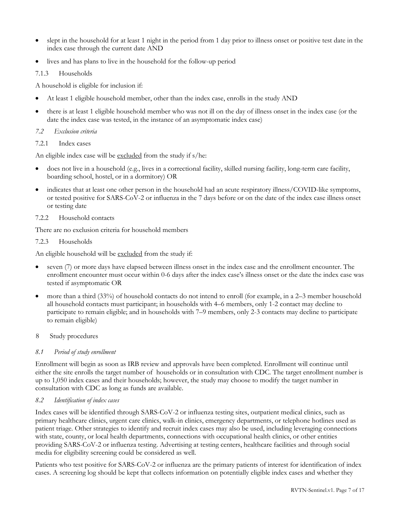- slept in the household for at least 1 night in the period from 1 day prior to illness onset or positive test date in the index case through the current date AND
- lives and has plans to live in the household for the follow-up period

## <span id="page-7-0"></span>7.1.3 Households

A household is eligible for inclusion if:

- At least 1 eligible household member, other than the index case, enrolls in the study AND
- there is at least 1 eligible household member who was not ill on the day of illness onset in the index case (or the date the index case was tested, in the instance of an asymptomatic index case)

## <span id="page-7-1"></span>*7.2 Exclusion criteria*

<span id="page-7-2"></span>7.2.1 Index cases

An eligible index case will be excluded from the study if s/he:

- does not live in a household (e.g., lives in a correctional facility, skilled nursing facility, long-term care facility, boarding school, hostel, or in a dormitory) OR
- indicates that at least one other person in the household had an acute respiratory illness/COVID-like symptoms, or tested positive for SARS-CoV-2 or influenza in the 7 days before or on the date of the index case illness onset or testing date
- <span id="page-7-3"></span>7.2.2 Household contacts

There are no exclusion criteria for household members

<span id="page-7-4"></span>7.2.3 Households

An eligible household will be excluded from the study if:

- seven (7) or more days have elapsed between illness onset in the index case and the enrollment encounter. The enrollment encounter must occur within 0-6 days after the index case's illness onset or the date the index case was tested if asymptomatic OR
- more than a third (33%) of household contacts do not intend to enroll (for example, in a 2–3 member household all household contacts must participant; in households with 4–6 members, only 1-2 contact may decline to participate to remain eligible; and in households with 7–9 members, only 2-3 contacts may decline to participate to remain eligible)
- <span id="page-7-5"></span>8 Study procedures

## <span id="page-7-6"></span>*8.1 Period of study enrollment*

Enrollment will begin as soon as IRB review and approvals have been completed. Enrollment will continue until either the site enrolls the target number of households or in consultation with CDC. The target enrollment number is up to 1,050 index cases and their households; however, the study may choose to modify the target number in consultation with CDC as long as funds are available.

## <span id="page-7-7"></span>*8.2 Identification of index cases*

Index cases will be identified through SARS-CoV-2 or influenza testing sites, outpatient medical clinics, such as primary healthcare clinics, urgent care clinics, walk-in clinics, emergency departments, or telephone hotlines used as patient triage. Other strategies to identify and recruit index cases may also be used, including leveraging connections with state, county, or local health departments, connections with occupational health clinics, or other entities providing SARS-CoV-2 or influenza testing. Advertising at testing centers, healthcare facilities and through social media for eligibility screening could be considered as well.

Patients who test positive for SARS-CoV-2 or influenza are the primary patients of interest for identification of index cases. A screening log should be kept that collects information on potentially eligible index cases and whether they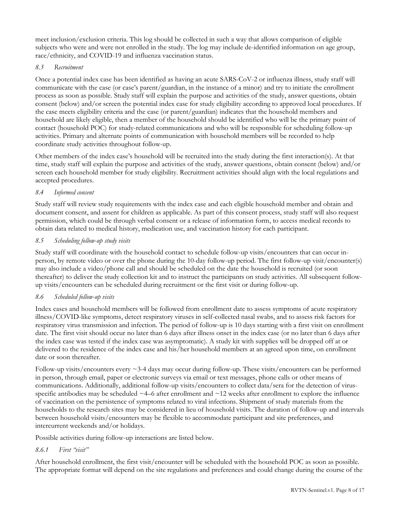meet inclusion/exclusion criteria. This log should be collected in such a way that allows comparison of eligible subjects who were and were not enrolled in the study. The log may include de-identified information on age group, race/ethnicity, and COVID-19 and influenza vaccination status.

#### <span id="page-8-0"></span>*8.3 Recruitment*

Once a potential index case has been identified as having an acute SARS-CoV-2 or influenza illness, study staff will communicate with the case (or case's parent/guardian, in the instance of a minor) and try to initiate the enrollment process as soon as possible. Study staff will explain the purpose and activities of the study, answer questions, obtain consent (below) and/or screen the potential index case for study eligibility according to approved local procedures. If the case meets eligibility criteria and the case (or parent/guardian) indicates that the household members and household are likely eligible, then a member of the household should be identified who will be the primary point of contact (household POC) for study-related communications and who will be responsible for scheduling follow-up activities. Primary and alternate points of communication with household members will be recorded to help coordinate study activities throughout follow-up.

Other members of the index case's household will be recruited into the study during the first interaction(s). At that time, study staff will explain the purpose and activities of the study, answer questions, obtain consent (below) and/or screen each household member for study eligibility. Recruitment activities should align with the local regulations and accepted procedures.

## <span id="page-8-1"></span>*8.4 Informed consent*

Study staff will review study requirements with the index case and each eligible household member and obtain and document consent, and assent for children as applicable. As part of this consent process, study staff will also request permission, which could be through verbal consent or a release of information form, to access medical records to obtain data related to medical history, medication use, and vaccination history for each participant.

#### <span id="page-8-2"></span>*8.5 Scheduling follow-up study visits*

Study staff will coordinate with the household contact to schedule follow-up visits/encounters that can occur inperson, by remote video or over the phone during the 10-day follow-up period. The first follow-up visit/encounter(s) may also include a video/phone call and should be scheduled on the date the household is recruited (or soon thereafter) to deliver the study collection kit and to instruct the participants on study activities. All subsequent followup visits/encounters can be scheduled during recruitment or the first visit or during follow-up.

## <span id="page-8-3"></span>*8.6 Scheduled follow-up visits*

Index cases and household members will be followed from enrollment date to assess symptoms of acute respiratory illness/COVID-like symptoms, detect respiratory viruses in self-collected nasal swabs, and to assess risk factors for respiratory virus transmission and infection. The period of follow-up is 10 days starting with a first visit on enrollment date. The first visit should occur no later than 6 days after illness onset in the index case (or no later than 6 days after the index case was tested if the index case was asymptomatic). A study kit with supplies will be dropped off at or delivered to the residence of the index case and his/her household members at an agreed upon time, on enrollment date or soon thereafter.

Follow-up visits/encounters every ~3-4 days may occur during follow-up. These visits/encounters can be performed in person, through email, paper or electronic surveys via email or text messages, phone calls or other means of communications. Additionally, additional follow-up visits/encounters to collect data/sera for the detection of virusspecific antibodies may be scheduled  $\sim$ 4–6 after enrollment and  $\sim$ 12 weeks after enrollment to explore the influence of vaccination on the persistence of symptoms related to viral infections. Shipment of study materials from the households to the research sites may be considered in lieu of household visits. The duration of follow-up and intervals between household visits/encounters may be flexible to accommodate participant and site preferences, and intercurrent weekends and/or holidays.

Possible activities during follow-up interactions are listed below.

## <span id="page-8-4"></span>*8.6.1 First "visit"*

After household enrollment, the first visit/encounter will be scheduled with the household POC as soon as possible. The appropriate format will depend on the site regulations and preferences and could change during the course of the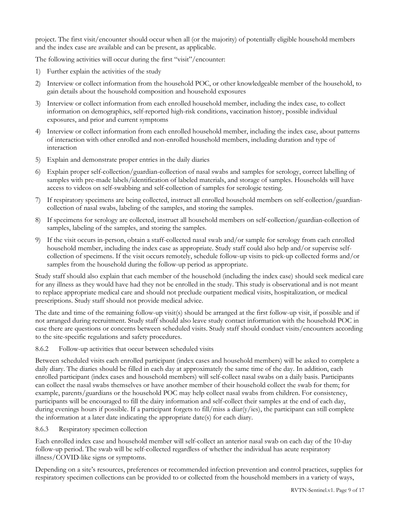project. The first visit/encounter should occur when all (or the majority) of potentially eligible household members and the index case are available and can be present, as applicable.

The following activities will occur during the first "visit"/encounter:

- 1) Further explain the activities of the study
- 2) Interview or collect information from the household POC, or other knowledgeable member of the household, to gain details about the household composition and household exposures
- 3) Interview or collect information from each enrolled household member, including the index case, to collect information on demographics, self-reported high-risk conditions, vaccination history, possible individual exposures, and prior and current symptoms
- 4) Interview or collect information from each enrolled household member, including the index case, about patterns of interaction with other enrolled and non-enrolled household members, including duration and type of interaction
- 5) Explain and demonstrate proper entries in the daily diaries
- 6) Explain proper self-collection/guardian-collection of nasal swabs and samples for serology, correct labelling of samples with pre-made labels/identification of labeled materials, and storage of samples. Households will have access to videos on self-swabbing and self-collection of samples for serologic testing.
- 7) If respiratory specimens are being collected, instruct all enrolled household members on self-collection/guardiancollection of nasal swabs, labeling of the samples, and storing the samples.
- 8) If specimens for serology are collected, instruct all household members on self-collection/guardian-collection of samples, labeling of the samples, and storing the samples.
- 9) If the visit occurs in-person, obtain a staff-collected nasal swab and/or sample for serology from each enrolled household member, including the index case as appropriate. Study staff could also help and/or supervise selfcollection of specimens. If the visit occurs remotely, schedule follow-up visits to pick-up collected forms and/or samples from the household during the follow-up period as appropriate.

Study staff should also explain that each member of the household (including the index case) should seek medical care for any illness as they would have had they not be enrolled in the study. This study is observational and is not meant to replace appropriate medical care and should not preclude outpatient medical visits, hospitalization, or medical prescriptions. Study staff should not provide medical advice.

The date and time of the remaining follow-up visit(s) should be arranged at the first follow-up visit, if possible and if not arranged during recruitment. Study staff should also leave study contact information with the household POC in case there are questions or concerns between scheduled visits. Study staff should conduct visits/encounters according to the site-specific regulations and safety procedures.

## <span id="page-9-0"></span>8.6.2 Follow-up activities that occur between scheduled visits

Between scheduled visits each enrolled participant (index cases and household members) will be asked to complete a daily diary. The diaries should be filled in each day at approximately the same time of the day. In addition, each enrolled participant (index cases and household members) will self-collect nasal swabs on a daily basis. Participants can collect the nasal swabs themselves or have another member of their household collect the swab for them; for example, parents/guardians or the household POC may help collect nasal swabs from children. For consistency, participants will be encouraged to fill the dairy information and self-collect their samples at the end of each day, during evenings hours if possible. If a participant forgets to fill/miss a diar(y/ies), the participant can still complete the information at a later date indicating the appropriate date(s) for each diary.

## <span id="page-9-1"></span>8.6.3 Respiratory specimen collection

Each enrolled index case and household member will self-collect an anterior nasal swab on each day of the 10-day follow-up period. The swab will be self-collected regardless of whether the individual has acute respiratory illness/COVID-like signs or symptoms.

Depending on a site's resources, preferences or recommended infection prevention and control practices, supplies for respiratory specimen collections can be provided to or collected from the household members in a variety of ways,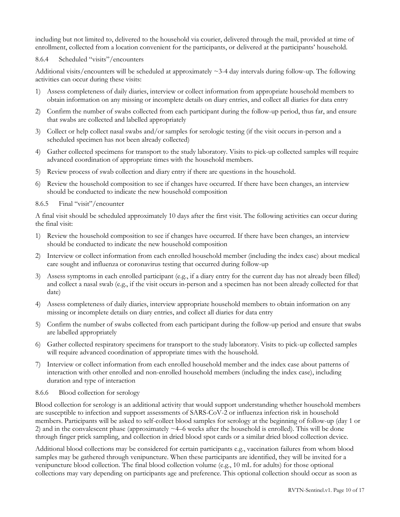including but not limited to, delivered to the household via courier, delivered through the mail, provided at time of enrollment, collected from a location convenient for the participants, or delivered at the participants' household.

#### <span id="page-10-0"></span>8.6.4 Scheduled "visits"/encounters

Additional visits/encounters will be scheduled at approximately  $\sim$ 3-4 day intervals during follow-up. The following activities can occur during these visits:

- 1) Assess completeness of daily diaries, interview or collect information from appropriate household members to obtain information on any missing or incomplete details on diary entries, and collect all diaries for data entry
- 2) Confirm the number of swabs collected from each participant during the follow-up period, thus far, and ensure that swabs are collected and labelled appropriately
- 3) Collect or help collect nasal swabs and/or samples for serologic testing (if the visit occurs in-person and a scheduled specimen has not been already collected)
- 4) Gather collected specimens for transport to the study laboratory. Visits to pick-up collected samples will require advanced coordination of appropriate times with the household members.
- 5) Review process of swab collection and diary entry if there are questions in the household.
- 6) Review the household composition to see if changes have occurred. If there have been changes, an interview should be conducted to indicate the new household composition
- <span id="page-10-1"></span>8.6.5 Final "visit"/encounter

A final visit should be scheduled approximately 10 days after the first visit. The following activities can occur during the final visit:

- 1) Review the household composition to see if changes have occurred. If there have been changes, an interview should be conducted to indicate the new household composition
- 2) Interview or collect information from each enrolled household member (including the index case) about medical care sought and influenza or coronavirus testing that occurred during follow-up
- 3) Assess symptoms in each enrolled participant (e.g., if a diary entry for the current day has not already been filled) and collect a nasal swab (e.g., if the visit occurs in-person and a specimen has not been already collected for that date)
- 4) Assess completeness of daily diaries, interview appropriate household members to obtain information on any missing or incomplete details on diary entries, and collect all diaries for data entry
- 5) Confirm the number of swabs collected from each participant during the follow-up period and ensure that swabs are labelled appropriately
- 6) Gather collected respiratory specimens for transport to the study laboratory. Visits to pick-up collected samples will require advanced coordination of appropriate times with the household.
- 7) Interview or collect information from each enrolled household member and the index case about patterns of interaction with other enrolled and non-enrolled household members (including the index case), including duration and type of interaction
- <span id="page-10-2"></span>8.6.6 Blood collection for serology

Blood collection for serology is an additional activity that would support understanding whether household members are susceptible to infection and support assessments of SARS-CoV-2 or influenza infection risk in household members. Participants will be asked to self-collect blood samples for serology at the beginning of follow-up (day 1 or 2) and in the convalescent phase (approximately ~4–6 weeks after the household is enrolled). This will be done through finger prick sampling, and collection in dried blood spot cards or a similar dried blood collection device.

Additional blood collections may be considered for certain participants e.g., vaccination failures from whom blood samples may be gathered through venipuncture. When these participants are identified, they will be invited for a venipuncture blood collection. The final blood collection volume (e.g., 10 mL for adults) for those optional collections may vary depending on participants age and preference. This optional collection should occur as soon as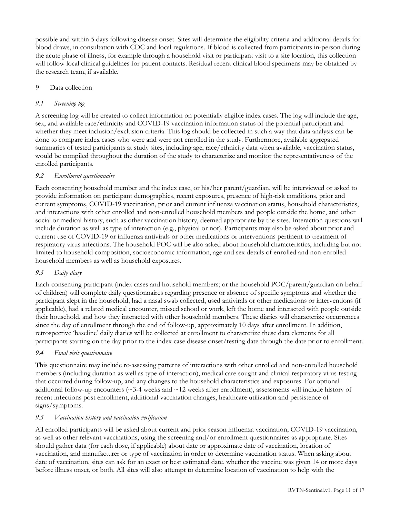possible and within 5 days following disease onset. Sites will determine the eligibility criteria and additional details for blood draws, in consultation with CDC and local regulations. If blood is collected from participants in-person during the acute phase of illness, for example through a household visit or participant visit to a site location, this collection will follow local clinical guidelines for patient contacts. Residual recent clinical blood specimens may be obtained by the research team, if available.

## <span id="page-11-0"></span>9 Data collection

## <span id="page-11-1"></span>*9.1 Screening log*

A screening log will be created to collect information on potentially eligible index cases. The log will include the age, sex, and available race/ethnicity and COVID-19 vaccination information status of the potential participant and whether they meet inclusion/exclusion criteria. This log should be collected in such a way that data analysis can be done to compare index cases who were and were not enrolled in the study. Furthermore, available aggregated summaries of tested participants at study sites, including age, race/ethnicity data when available, vaccination status, would be compiled throughout the duration of the study to characterize and monitor the representativeness of the enrolled participants.

## <span id="page-11-2"></span>*9.2 Enrollment questionnaire*

Each consenting household member and the index case, or his/her parent/guardian, will be interviewed or asked to provide information on participant demographics, recent exposures, presence of high-risk conditions, prior and current symptoms, COVID-19 vaccination, prior and current influenza vaccination status, household characteristics, and interactions with other enrolled and non-enrolled household members and people outside the home, and other social or medical history, such as other vaccination history, deemed appropriate by the sites. Interaction questions will include duration as well as type of interaction (e.g., physical or not). Participants may also be asked about prior and current use of COVID-19 or influenza antivirals or other medications or interventions pertinent to treatment of respiratory virus infections. The household POC will be also asked about household characteristics, including but not limited to household composition, socioeconomic information, age and sex details of enrolled and non-enrolled household members as well as household exposures.

## <span id="page-11-3"></span>*9.3 Daily diary*

Each consenting participant (index cases and household members; or the household POC/parent/guardian on behalf of children) will complete daily questionnaires regarding presence or absence of specific symptoms and whether the participant slept in the household, had a nasal swab collected, used antivirals or other medications or interventions (if applicable), had a related medical encounter, missed school or work, left the home and interacted with people outside their household, and how they interacted with other household members. These diaries will characterize occurrences since the day of enrollment through the end of follow-up, approximately 10 days after enrollment. In addition, retrospective 'baseline' daily diaries will be collected at enrollment to characterize these data elements for all participants starting on the day prior to the index case disease onset/testing date through the date prior to enrollment.

## <span id="page-11-4"></span>*9.4 Final visit questionnaire*

This questionnaire may include re-assessing patterns of interactions with other enrolled and non-enrolled household members (including duration as well as type of interaction), medical care sought and clinical respiratory virus testing that occurred during follow-up, and any changes to the household characteristics and exposures. For optional additional follow-up encounters ( $\sim$ 3-4 weeks and  $\sim$ 12 weeks after enrollment), assessments will include history of recent infections post enrollment, additional vaccination changes, healthcare utilization and persistence of signs/symptoms.

## <span id="page-11-5"></span>*9.5 Vaccination history and vaccination verification*

All enrolled participants will be asked about current and prior season influenza vaccination, COVID-19 vaccination, as well as other relevant vaccinations, using the screening and/or enrollment questionnaires as appropriate. Sites should gather data (for each dose, if applicable) about date or approximate date of vaccination, location of vaccination, and manufacturer or type of vaccination in order to determine vaccination status. When asking about date of vaccination, sites can ask for an exact or best estimated date, whether the vaccine was given 14 or more days before illness onset, or both. All sites will also attempt to determine location of vaccination to help with the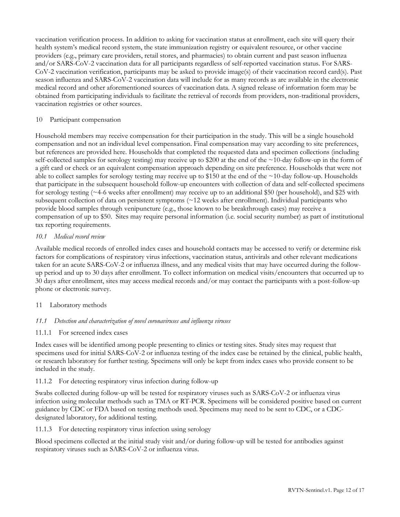vaccination verification process. In addition to asking for vaccination status at enrollment, each site will query their health system's medical record system, the state immunization registry or equivalent resource, or other vaccine providers (e.g., primary care providers, retail stores, and pharmacies) to obtain current and past season influenza and/or SARS-CoV-2 vaccination data for all participants regardless of self-reported vaccination status. For SARS-CoV-2 vaccination verification, participants may be asked to provide image(s) of their vaccination record card(s). Past season influenza and SARS-CoV-2 vaccination data will include for as many records as are available in the electronic medical record and other aforementioned sources of vaccination data. A signed release of information form may be obtained from participating individuals to facilitate the retrieval of records from providers, non-traditional providers, vaccination registries or other sources.

#### <span id="page-12-0"></span>10 Participant compensation

Household members may receive compensation for their participation in the study. This will be a single household compensation and not an individual level compensation. Final compensation may vary according to site preferences, but references are provided here. Households that completed the requested data and specimen collections (including self-collected samples for serology testing) may receive up to \$200 at the end of the  $\sim$ 10-day follow-up in the form of a gift card or check or an equivalent compensation approach depending on site preference. Households that were not able to collect samples for serology testing may receive up to \$150 at the end of the ~10-day follow-up. Households that participate in the subsequent household follow-up encounters with collection of data and self-collected specimens for serology testing (~4-6 weeks after enrollment) may receive up to an additional \$50 (per household), and \$25 with subsequent collection of data on persistent symptoms (~12 weeks after enrollment). Individual participants who provide blood samples through venipuncture (e.g., those known to be breakthrough cases) may receive a compensation of up to \$50. Sites may require personal information (i.e. social security number) as part of institutional tax reporting requirements.

#### <span id="page-12-1"></span>*10.1 Medical record review*

Available medical records of enrolled index cases and household contacts may be accessed to verify or determine risk factors for complications of respiratory virus infections, vaccination status, antivirals and other relevant medications taken for an acute SARS-CoV-2 or influenza illness, and any medical visits that may have occurred during the followup period and up to 30 days after enrollment. To collect information on medical visits/encounters that occurred up to 30 days after enrollment, sites may access medical records and/or may contact the participants with a post-follow-up phone or electronic survey.

## <span id="page-12-2"></span>11 Laboratory methods

## <span id="page-12-3"></span>*11.1 Detection and characterization of novel coronaviruses and influenza viruses*

#### <span id="page-12-4"></span>11.1.1 For screened index cases

Index cases will be identified among people presenting to clinics or testing sites. Study sites may request that specimens used for initial SARS-CoV-2 or influenza testing of the index case be retained by the clinical, public health, or research laboratory for further testing. Specimens will only be kept from index cases who provide consent to be included in the study.

## <span id="page-12-5"></span>11.1.2 For detecting respiratory virus infection during follow-up

Swabs collected during follow-up will be tested for respiratory viruses such as SARS-CoV-2 or influenza virus infection using molecular methods such as TMA or RT-PCR. Specimens will be considered positive based on current guidance by CDC or FDA based on testing methods used. Specimens may need to be sent to CDC, or a CDCdesignated laboratory, for additional testing.

#### <span id="page-12-6"></span>11.1.3 For detecting respiratory virus infection using serology

Blood specimens collected at the initial study visit and/or during follow-up will be tested for antibodies against respiratory viruses such as SARS-CoV-2 or influenza virus.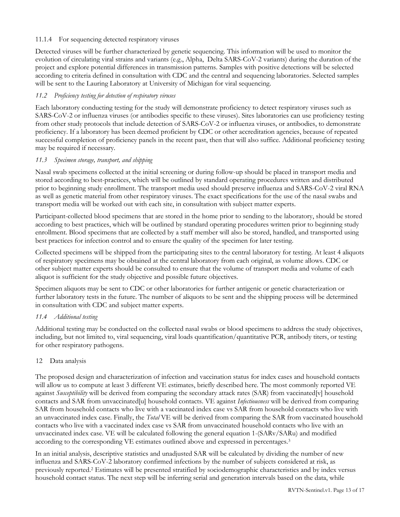## <span id="page-13-0"></span>11.1.4 For sequencing detected respiratory viruses

Detected viruses will be further characterized by genetic sequencing. This information will be used to monitor the evolution of circulating viral strains and variants (e.g., Alpha, Delta SARS-CoV-2 variants) during the duration of the project and explore potential differences in transmission patterns. Samples with positive detections will be selected according to criteria defined in consultation with CDC and the central and sequencing laboratories. Selected samples will be sent to the Lauring Laboratory at University of Michigan for viral sequencing.

## <span id="page-13-1"></span>*11.2 Proficiency testing for detection of respiratory viruses*

Each laboratory conducting testing for the study will demonstrate proficiency to detect respiratory viruses such as SARS-CoV-2 or influenza viruses (or antibodies specific to these viruses). Sites laboratories can use proficiency testing from other study protocols that include detection of SARS-CoV-2 or influenza viruses, or antibodies, to demonstrate proficiency. If a laboratory has been deemed proficient by CDC or other accreditation agencies, because of repeated successful completion of proficiency panels in the recent past, then that will also suffice. Additional proficiency testing may be required if necessary.

## <span id="page-13-2"></span>*11.3 Specimen storage, transport, and shipping*

Nasal swab specimens collected at the initial screening or during follow-up should be placed in transport media and stored according to best-practices, which will be outlined by standard operating procedures written and distributed prior to beginning study enrollment. The transport media used should preserve influenza and SARS-CoV-2 viral RNA as well as genetic material from other respiratory viruses. The exact specifications for the use of the nasal swabs and transport media will be worked out with each site, in consultation with subject matter experts.

Participant-collected blood specimens that are stored in the home prior to sending to the laboratory, should be stored according to best practices, which will be outlined by standard operating procedures written prior to beginning study enrollment. Blood specimens that are collected by a staff member will also be stored, handled, and transported using best practices for infection control and to ensure the quality of the specimen for later testing.

Collected specimens will be shipped from the participating sites to the central laboratory for testing. At least 4 aliquots of respiratory specimens may be obtained at the central laboratory from each original, as volume allows. CDC or other subject matter experts should be consulted to ensure that the volume of transport media and volume of each aliquot is sufficient for the study objective and possible future objectives.

Specimen aliquots may be sent to CDC or other laboratories for further antigenic or genetic characterization or further laboratory tests in the future. The number of aliquots to be sent and the shipping process will be determined in consultation with CDC and subject matter experts.

## <span id="page-13-3"></span>*11.4 Additional testing*

Additional testing may be conducted on the collected nasal swabs or blood specimens to address the study objectives, including, but not limited to, viral sequencing, viral loads quantification/quantitative PCR, antibody titers, or testing for other respiratory pathogens.

## <span id="page-13-4"></span>12 Data analysis

The proposed design and characterization of infection and vaccination status for index cases and household contacts will allow us to compute at least 3 different VE estimates, briefly described here. The most commonly reported VE against *Susceptibility* will be derived from comparing the secondary attack rates (SAR) from vaccinated[v] household contacts and SAR from unvaccinated[u] household contacts. VE against *Infectiousness* will be derived from comparing SAR from household contacts who live with a vaccinated index case vs SAR from household contacts who live with an unvaccinated index case. Finally, the *Total* VE will be derived from comparing the SAR from vaccinated household contacts who live with a vaccinated index case vs SAR from unvaccinated household contacts who live with an unvaccinated index case. VE will be calculated following the general equation 1-(SARv/SARu) and modified according to the corresponding VE estimates outlined above and expressed in percentages.<sup>3</sup>

In an initial analysis, descriptive statistics and unadjusted SAR will be calculated by dividing the number of new influenza and SARS-CoV-2 laboratory confirmed infections by the number of subjects considered at risk, as previously reported.<sup>2</sup> Estimates will be presented stratified by sociodemographic characteristics and by index versus household contact status. The next step will be inferring serial and generation intervals based on the data, while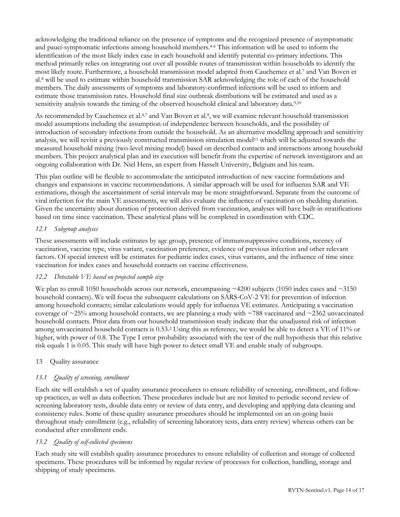acknowledging the traditional reliance on the presence of symptoms and the recognized presence of asymptomatic and pauci-symptomatic infections among household members.4-6 This information will be used to inform the identification of the most likely index case in each household and identify potential co-primary infections. This method primarily relies on integrating out over all possible routes of transmission within households to identify the most likely route. Furthermore, a household transmission model adapted from Cauchemez et al.<sup>7</sup> and Van Boven et al.<sup>8</sup> will be used to estimate within household transmission SAR acknowledging the role of each of the household members. The daily assessments of symptoms and laboratory-confirmed infections will be used to inform and estimate those transmission rates. Household final size outbreak distributions will be estimated and used as a sensitivity analysis towards the timing of the observed household clinical and laboratory data.<sup>9,10</sup>

As recommended by Cauchemez et al.<sup>4,7</sup> and Van Boven et al.<sup>8</sup>, we will examine relevant household transmission model assumptions including the assumption of independence between households, and the possibility of introduction of secondary infections from outside the household. As an alternative modelling approach and sensitivity analysis, we will revisit a previously constructed transmission simulation model<sup>11</sup> which will be adjusted towards the measured household mixing (two-level mixing model) based on described contacts and interactions among household members. This project analytical plan and its execution will benefit from the expertise of network investigators and an ongoing collaboration with Dr. Niel Hens, an expert from Hasselt University, Belgium and his team.

This plan outline will be flexible to accommodate the anticipated introduction of new vaccine formulations and changes and expansions in vaccine recommendations. A similar approach will be used for influenza SAR and VE estimations, though the ascertainment of serial intervals may be more straightforward. Separate from the outcome of viral infection for the main VE assessments, we will also evaluate the influence of vaccination on shedding duration. Given the uncertainty about duration of protection derived from vaccination, analyses will have built-in stratifications based on time since vaccination. These analytical plans will be completed in coordination with CDC.

## <span id="page-14-0"></span>*12.1 Subgroup analyses*

These assessments will include estimates by age group, presence of immunosuppressive conditions, recency of vaccination, vaccine type, virus variant, vaccination preference, evidence of previous infection and other relevant factors. Of special interest will be estimates for pediatric index cases, virus variants, and the influence of time since vaccination for index cases and household contacts on vaccine effectiveness.

## <span id="page-14-1"></span>*12.2 Detectable VE based on projected sample size*

We plan to enroll 1050 households across our network, encompassing  $\sim$ 4200 subjects (1050 index cases and  $\sim$ 3150 household contacts). We will focus the subsequent calculations on SARS-CoV-2 VE for prevention of infection among household contacts; similar calculations would apply for influenza VE estimates. Anticipating a vaccination coverage of  $\approx$ 25% among household contacts, we are planning a study with  $\sim$ 788 vaccinated and  $\sim$ 2362 unvaccinated household contacts. Prior data from our household transmission study indicate that the unadjusted risk of infection among unvaccinated household contacts is 0.53.<sup>2</sup> Using this as reference, we would be able to detect a VE of 11% or higher, with power of 0.8. The Type I error probability associated with the test of the null hypothesis that this relative risk equals 1 is 0.05. This study will have high power to detect small VE and enable study of subgroups.

## <span id="page-14-2"></span>13 Quality assurance

## <span id="page-14-3"></span>*13.1 Quality of screening, enrollment*

Each site will establish a set of quality assurance procedures to ensure reliability of screening, enrollment, and followup practices, as well as data collection. These procedures include but are not limited to periodic second review of screening laboratory tests, double data entry or review of data entry, and developing and applying data cleaning and consistency rules. Some of these quality assurance procedures should be implemented on an on-going basis throughout study enrollment (e.g., reliability of screening laboratory tests, data entry review) whereas others can be conducted after enrollment ends.

#### <span id="page-14-4"></span>*13.2 Quality of self-collected specimens*

Each study site will establish quality assurance procedures to ensure reliability of collection and storage of collected specimens. These procedures will be informed by regular review of processes for collection, handling, storage and shipping of study specimens.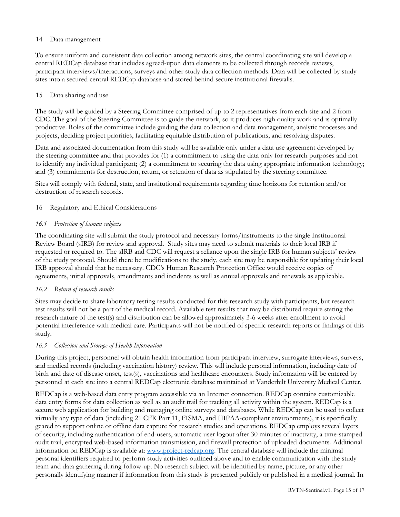#### <span id="page-15-0"></span>14 Data management

To ensure uniform and consistent data collection among network sites, the central coordinating site will develop a central REDCap database that includes agreed-upon data elements to be collected through records reviews, participant interviews/interactions, surveys and other study data collection methods. Data will be collected by study sites into a secured central REDCap database and stored behind secure institutional firewalls.

#### <span id="page-15-1"></span>15 Data sharing and use

The study will be guided by a Steering Committee comprised of up to 2 representatives from each site and 2 from CDC. The goal of the Steering Committee is to guide the network, so it produces high quality work and is optimally productive. Roles of the committee include guiding the data collection and data management, analytic processes and projects, deciding project priorities, facilitating equitable distribution of publications, and resolving disputes.

Data and associated documentation from this study will be available only under a data use agreement developed by the steering committee and that provides for (1) a commitment to using the data only for research purposes and not to identify any individual participant; (2) a commitment to securing the data using appropriate information technology; and (3) commitments for destruction, return, or retention of data as stipulated by the steering committee.

Sites will comply with federal, state, and institutional requirements regarding time horizons for retention and/or destruction of research records.

## <span id="page-15-2"></span>16 Regulatory and Ethical Considerations

#### <span id="page-15-3"></span>*16.1 Protection of human subjects*

The coordinating site will submit the study protocol and necessary forms/instruments to the single Institutional Review Board (sIRB) for review and approval. Study sites may need to submit materials to their local IRB if requested or required to. The sIRB and CDC will request a reliance upon the single IRB for human subjects' review of the study protocol. Should there be modifications to the study, each site may be responsible for updating their local IRB approval should that be necessary. CDC's Human Research Protection Office would receive copies of agreements, initial approvals, amendments and incidents as well as annual approvals and renewals as applicable.

## <span id="page-15-4"></span>*16.2 Return of research results*

Sites may decide to share laboratory testing results conducted for this research study with participants, but research test results will not be a part of the medical record. Available test results that may be distributed require stating the research nature of the test(s) and distribution can be allowed approximately 3-6 weeks after enrollment to avoid potential interference with medical care. Participants will not be notified of specific research reports or findings of this study.

## <span id="page-15-5"></span>*16.3 Collection and Storage of Health Information*

During this project, personnel will obtain health information from participant interview, surrogate interviews, surveys, and medical records (including vaccination history) review. This will include personal information, including date of birth and date of disease onset, test(s), vaccinations and healthcare encounters. Study information will be entered by personnel at each site into a central REDCap electronic database maintained at Vanderbilt University Medical Center.

REDCap is a web-based data entry program accessible via an Internet connection. REDCap contains customizable data entry forms for data collection as well as an audit trail for tracking all activity within the system. REDCap is a secure web application for building and managing online surveys and databases. While REDCap can be used to collect virtually any type of data (including 21 CFR Part 11, FISMA, and HIPAA-compliant environments), it is specifically geared to support online or offline data capture for research studies and operations. REDCap employs several layers of security, including authentication of end-users, automatic user logout after 30 minutes of inactivity, a time-stamped audit trail, encrypted web-based information transmission, and firewall protection of uploaded documents. Additional information on REDCap is available at: [www.project-redcap.org.](http://www.project-redcap.org/) The central database will include the minimal personal identifiers required to perform study activities outlined above and to enable communication with the study team and data gathering during follow-up. No research subject will be identified by name, picture, or any other personally identifying manner if information from this study is presented publicly or published in a medical journal. In